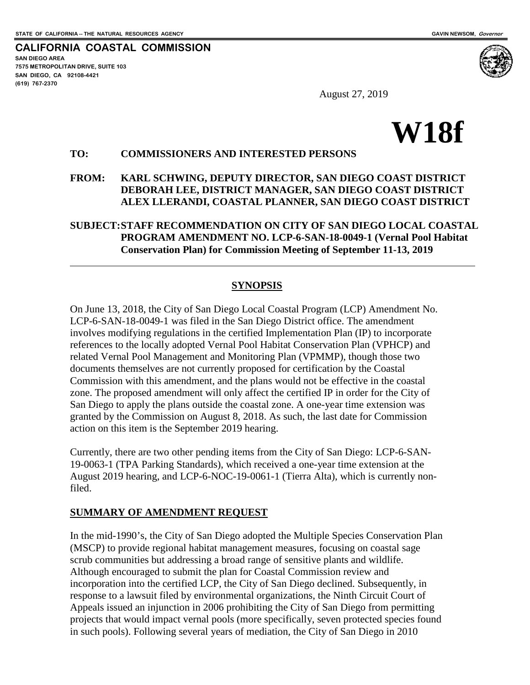$\overline{a}$ 

**CALIFORNIA COASTAL COMMISSION SAN DIEGO AREA 7575 METROPOLITAN DRIVE, SUITE 103 SAN DIEGO, CA 92108-4421 (619) 767-2370**



August 27, 2019

# **W18f**

#### **TO: COMMISSIONERS AND INTERESTED PERSONS**

#### **FROM: KARL SCHWING, DEPUTY DIRECTOR, SAN DIEGO COAST DISTRICT DEBORAH LEE, DISTRICT MANAGER, SAN DIEGO COAST DISTRICT ALEX LLERANDI, COASTAL PLANNER, SAN DIEGO COAST DISTRICT**

# **SUBJECT:STAFF RECOMMENDATION ON CITY OF SAN DIEGO LOCAL COASTAL PROGRAM AMENDMENT NO. LCP-6-SAN-18-0049-1 (Vernal Pool Habitat Conservation Plan) for Commission Meeting of September 11-13, 2019**

#### **SYNOPSIS**

On June 13, 2018, the City of San Diego Local Coastal Program (LCP) Amendment No. LCP-6-SAN-18-0049-1 was filed in the San Diego District office. The amendment involves modifying regulations in the certified Implementation Plan (IP) to incorporate references to the locally adopted Vernal Pool Habitat Conservation Plan (VPHCP) and related Vernal Pool Management and Monitoring Plan (VPMMP), though those two documents themselves are not currently proposed for certification by the Coastal Commission with this amendment, and the plans would not be effective in the coastal zone. The proposed amendment will only affect the certified IP in order for the City of San Diego to apply the plans outside the coastal zone. A one-year time extension was granted by the Commission on August 8, 2018. As such, the last date for Commission action on this item is the September 2019 hearing.

Currently, there are two other pending items from the City of San Diego: LCP-6-SAN-19-0063-1 (TPA Parking Standards), which received a one-year time extension at the August 2019 hearing, and LCP-6-NOC-19-0061-1 (Tierra Alta), which is currently nonfiled.

#### **SUMMARY OF AMENDMENT REQUEST**

In the mid-1990's, the City of San Diego adopted the Multiple Species Conservation Plan (MSCP) to provide regional habitat management measures, focusing on coastal sage scrub communities but addressing a broad range of sensitive plants and wildlife. Although encouraged to submit the plan for Coastal Commission review and incorporation into the certified LCP, the City of San Diego declined. Subsequently, in response to a lawsuit filed by environmental organizations, the Ninth Circuit Court of Appeals issued an injunction in 2006 prohibiting the City of San Diego from permitting projects that would impact vernal pools (more specifically, seven protected species found in such pools). Following several years of mediation, the City of San Diego in 2010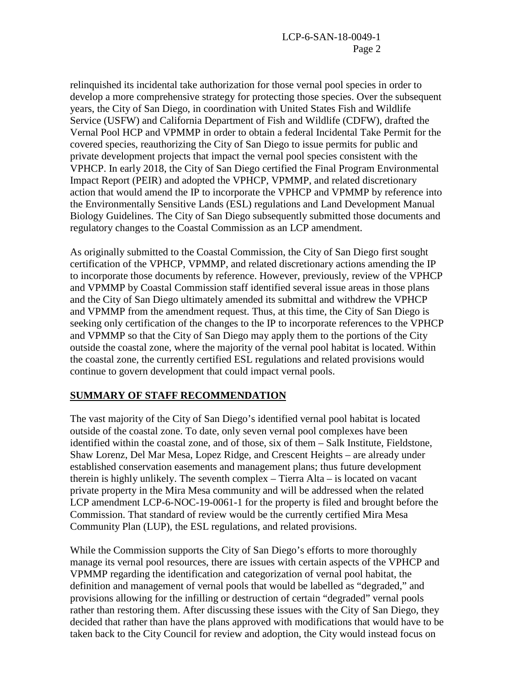relinquished its incidental take authorization for those vernal pool species in order to develop a more comprehensive strategy for protecting those species. Over the subsequent years, the City of San Diego, in coordination with United States Fish and Wildlife Service (USFW) and California Department of Fish and Wildlife (CDFW), drafted the Vernal Pool HCP and VPMMP in order to obtain a federal Incidental Take Permit for the covered species, reauthorizing the City of San Diego to issue permits for public and private development projects that impact the vernal pool species consistent with the VPHCP. In early 2018, the City of San Diego certified the Final Program Environmental Impact Report (PEIR) and adopted the VPHCP, VPMMP, and related discretionary action that would amend the IP to incorporate the VPHCP and VPMMP by reference into the Environmentally Sensitive Lands (ESL) regulations and Land Development Manual Biology Guidelines. The City of San Diego subsequently submitted those documents and regulatory changes to the Coastal Commission as an LCP amendment.

As originally submitted to the Coastal Commission, the City of San Diego first sought certification of the VPHCP, VPMMP, and related discretionary actions amending the IP to incorporate those documents by reference. However, previously, review of the VPHCP and VPMMP by Coastal Commission staff identified several issue areas in those plans and the City of San Diego ultimately amended its submittal and withdrew the VPHCP and VPMMP from the amendment request. Thus, at this time, the City of San Diego is seeking only certification of the changes to the IP to incorporate references to the VPHCP and VPMMP so that the City of San Diego may apply them to the portions of the City outside the coastal zone, where the majority of the vernal pool habitat is located. Within the coastal zone, the currently certified ESL regulations and related provisions would continue to govern development that could impact vernal pools.

#### **SUMMARY OF STAFF RECOMMENDATION**

The vast majority of the City of San Diego's identified vernal pool habitat is located outside of the coastal zone. To date, only seven vernal pool complexes have been identified within the coastal zone, and of those, six of them – Salk Institute, Fieldstone, Shaw Lorenz, Del Mar Mesa, Lopez Ridge, and Crescent Heights – are already under established conservation easements and management plans; thus future development therein is highly unlikely. The seventh complex – Tierra Alta – is located on vacant private property in the Mira Mesa community and will be addressed when the related LCP amendment LCP-6-NOC-19-0061-1 for the property is filed and brought before the Commission. That standard of review would be the currently certified Mira Mesa Community Plan (LUP), the ESL regulations, and related provisions.

While the Commission supports the City of San Diego's efforts to more thoroughly manage its vernal pool resources, there are issues with certain aspects of the VPHCP and VPMMP regarding the identification and categorization of vernal pool habitat, the definition and management of vernal pools that would be labelled as "degraded," and provisions allowing for the infilling or destruction of certain "degraded" vernal pools rather than restoring them. After discussing these issues with the City of San Diego, they decided that rather than have the plans approved with modifications that would have to be taken back to the City Council for review and adoption, the City would instead focus on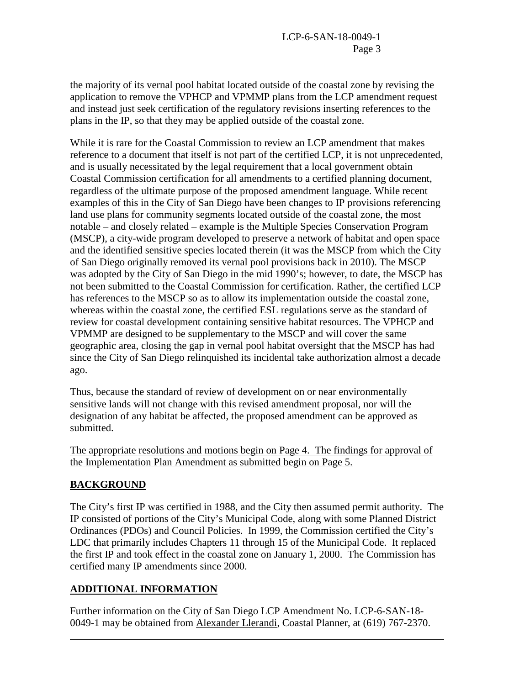the majority of its vernal pool habitat located outside of the coastal zone by revising the application to remove the VPHCP and VPMMP plans from the LCP amendment request and instead just seek certification of the regulatory revisions inserting references to the plans in the IP, so that they may be applied outside of the coastal zone.

While it is rare for the Coastal Commission to review an LCP amendment that makes reference to a document that itself is not part of the certified LCP, it is not unprecedented, and is usually necessitated by the legal requirement that a local government obtain Coastal Commission certification for all amendments to a certified planning document, regardless of the ultimate purpose of the proposed amendment language. While recent examples of this in the City of San Diego have been changes to IP provisions referencing land use plans for community segments located outside of the coastal zone, the most notable – and closely related – example is the Multiple Species Conservation Program (MSCP), a city-wide program developed to preserve a network of habitat and open space and the identified sensitive species located therein (it was the MSCP from which the City of San Diego originally removed its vernal pool provisions back in 2010). The MSCP was adopted by the City of San Diego in the mid 1990's; however, to date, the MSCP has not been submitted to the Coastal Commission for certification. Rather, the certified LCP has references to the MSCP so as to allow its implementation outside the coastal zone, whereas within the coastal zone, the certified ESL regulations serve as the standard of review for coastal development containing sensitive habitat resources. The VPHCP and VPMMP are designed to be supplementary to the MSCP and will cover the same geographic area, closing the gap in vernal pool habitat oversight that the MSCP has had since the City of San Diego relinquished its incidental take authorization almost a decade ago.

Thus, because the standard of review of development on or near environmentally sensitive lands will not change with this revised amendment proposal, nor will the designation of any habitat be affected, the proposed amendment can be approved as submitted.

The appropriate resolutions and motions begin on Page 4. The findings for approval of the Implementation Plan Amendment as submitted begin on Page 5.

# **BACKGROUND**

 $\overline{a}$ 

The City's first IP was certified in 1988, and the City then assumed permit authority. The IP consisted of portions of the City's Municipal Code, along with some Planned District Ordinances (PDOs) and Council Policies. In 1999, the Commission certified the City's LDC that primarily includes Chapters 11 through 15 of the Municipal Code. It replaced the first IP and took effect in the coastal zone on January 1, 2000. The Commission has certified many IP amendments since 2000.

# **ADDITIONAL INFORMATION**

Further information on the City of San Diego LCP Amendment No. LCP-6-SAN-18- 0049-1 may be obtained from Alexander Llerandi, Coastal Planner, at (619) 767-2370.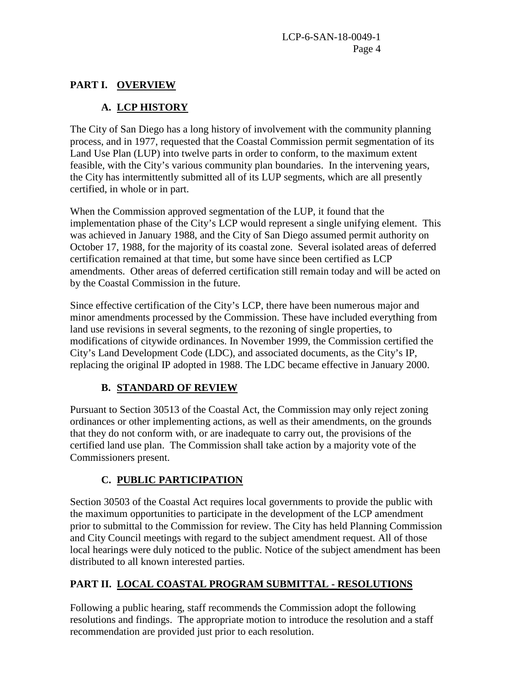# **PART I. OVERVIEW**

# **A. LCP HISTORY**

The City of San Diego has a long history of involvement with the community planning process, and in 1977, requested that the Coastal Commission permit segmentation of its Land Use Plan (LUP) into twelve parts in order to conform, to the maximum extent feasible, with the City's various community plan boundaries. In the intervening years, the City has intermittently submitted all of its LUP segments, which are all presently certified, in whole or in part.

When the Commission approved segmentation of the LUP, it found that the implementation phase of the City's LCP would represent a single unifying element. This was achieved in January 1988, and the City of San Diego assumed permit authority on October 17, 1988, for the majority of its coastal zone. Several isolated areas of deferred certification remained at that time, but some have since been certified as LCP amendments. Other areas of deferred certification still remain today and will be acted on by the Coastal Commission in the future.

Since effective certification of the City's LCP, there have been numerous major and minor amendments processed by the Commission. These have included everything from land use revisions in several segments, to the rezoning of single properties, to modifications of citywide ordinances. In November 1999, the Commission certified the City's Land Development Code (LDC), and associated documents, as the City's IP, replacing the original IP adopted in 1988. The LDC became effective in January 2000.

# **B. STANDARD OF REVIEW**

Pursuant to Section 30513 of the Coastal Act, the Commission may only reject zoning ordinances or other implementing actions, as well as their amendments, on the grounds that they do not conform with, or are inadequate to carry out, the provisions of the certified land use plan. The Commission shall take action by a majority vote of the Commissioners present.

# **C. PUBLIC PARTICIPATION**

Section 30503 of the Coastal Act requires local governments to provide the public with the maximum opportunities to participate in the development of the LCP amendment prior to submittal to the Commission for review. The City has held Planning Commission and City Council meetings with regard to the subject amendment request. All of those local hearings were duly noticed to the public. Notice of the subject amendment has been distributed to all known interested parties.

# **PART II. LOCAL COASTAL PROGRAM SUBMITTAL - RESOLUTIONS**

Following a public hearing, staff recommends the Commission adopt the following resolutions and findings. The appropriate motion to introduce the resolution and a staff recommendation are provided just prior to each resolution.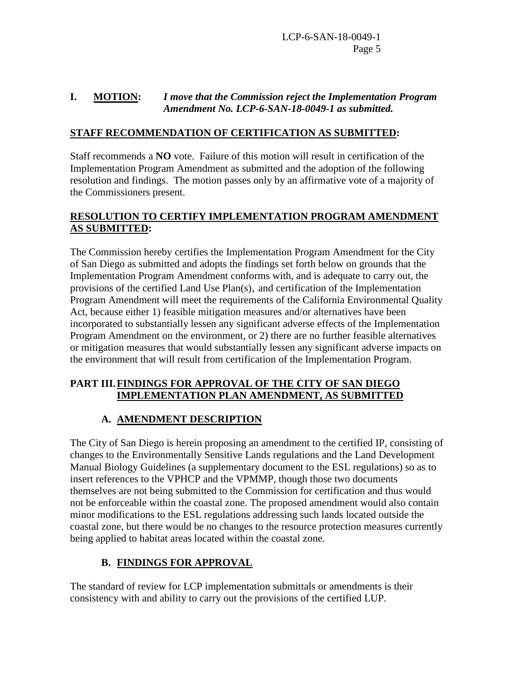LCP-6-SAN-18-0049-1 Page 5

#### **I. MOTION:** *I move that the Commission reject the Implementation Program Amendment No. LCP-6-SAN-18-0049-1 as submitted.*

## **STAFF RECOMMENDATION OF CERTIFICATION AS SUBMITTED:**

Staff recommends a **NO** vote. Failure of this motion will result in certification of the Implementation Program Amendment as submitted and the adoption of the following resolution and findings. The motion passes only by an affirmative vote of a majority of the Commissioners present.

# **RESOLUTION TO CERTIFY IMPLEMENTATION PROGRAM AMENDMENT AS SUBMITTED:**

The Commission hereby certifies the Implementation Program Amendment for the City of San Diego as submitted and adopts the findings set forth below on grounds that the Implementation Program Amendment conforms with, and is adequate to carry out, the provisions of the certified Land Use Plan(s), and certification of the Implementation Program Amendment will meet the requirements of the California Environmental Quality Act, because either 1) feasible mitigation measures and/or alternatives have been incorporated to substantially lessen any significant adverse effects of the Implementation Program Amendment on the environment, or 2) there are no further feasible alternatives or mitigation measures that would substantially lessen any significant adverse impacts on the environment that will result from certification of the Implementation Program.

#### **PART III.FINDINGS FOR APPROVAL OF THE CITY OF SAN DIEGO IMPLEMENTATION PLAN AMENDMENT, AS SUBMITTED**

# **A. AMENDMENT DESCRIPTION**

The City of San Diego is herein proposing an amendment to the certified IP, consisting of changes to the Environmentally Sensitive Lands regulations and the Land Development Manual Biology Guidelines (a supplementary document to the ESL regulations) so as to insert references to the VPHCP and the VPMMP, though those two documents themselves are not being submitted to the Commission for certification and thus would not be enforceable within the coastal zone. The proposed amendment would also contain minor modifications to the ESL regulations addressing such lands located outside the coastal zone, but there would be no changes to the resource protection measures currently being applied to habitat areas located within the coastal zone.

# **B. FINDINGS FOR APPROVAL**

The standard of review for LCP implementation submittals or amendments is their consistency with and ability to carry out the provisions of the certified LUP.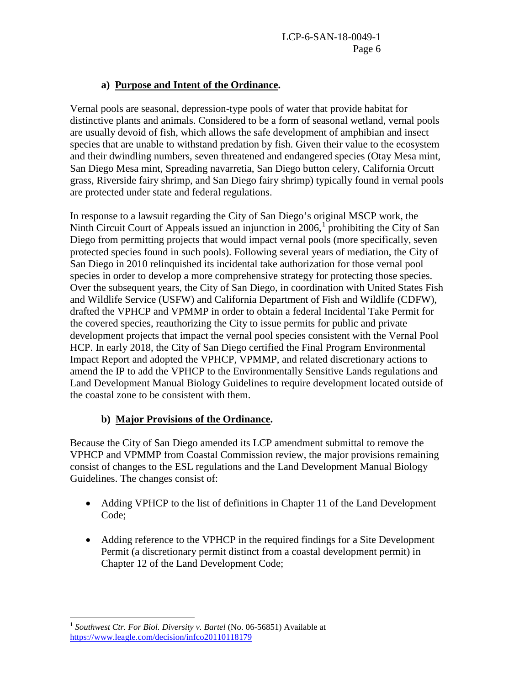# **a) Purpose and Intent of the Ordinance.**

Vernal pools are seasonal, depression-type pools of water that provide habitat for distinctive plants and animals. Considered to be a form of seasonal wetland, vernal pools are usually devoid of fish, which allows the safe development of amphibian and insect species that are unable to withstand predation by fish. Given their value to the ecosystem and their dwindling numbers, seven threatened and endangered species (Otay Mesa mint, San Diego Mesa mint, Spreading navarretia, San Diego button celery, California Orcutt grass, Riverside fairy shrimp, and San Diego fairy shrimp) typically found in vernal pools are protected under state and federal regulations.

In response to a lawsuit regarding the City of San Diego's original MSCP work, the Ninth Circuit Court of Appeals issued an injunction in 2006,<sup>[1](#page-5-0)</sup> prohibiting the City of San Diego from permitting projects that would impact vernal pools (more specifically, seven protected species found in such pools). Following several years of mediation, the City of San Diego in 2010 relinquished its incidental take authorization for those vernal pool species in order to develop a more comprehensive strategy for protecting those species. Over the subsequent years, the City of San Diego, in coordination with United States Fish and Wildlife Service (USFW) and California Department of Fish and Wildlife (CDFW), drafted the VPHCP and VPMMP in order to obtain a federal Incidental Take Permit for the covered species, reauthorizing the City to issue permits for public and private development projects that impact the vernal pool species consistent with the Vernal Pool HCP. In early 2018, the City of San Diego certified the Final Program Environmental Impact Report and adopted the VPHCP, VPMMP, and related discretionary actions to amend the IP to add the VPHCP to the Environmentally Sensitive Lands regulations and Land Development Manual Biology Guidelines to require development located outside of the coastal zone to be consistent with them.

# **b) Major Provisions of the Ordinance.**

Because the City of San Diego amended its LCP amendment submittal to remove the VPHCP and VPMMP from Coastal Commission review, the major provisions remaining consist of changes to the ESL regulations and the Land Development Manual Biology Guidelines. The changes consist of:

- Adding VPHCP to the list of definitions in Chapter 11 of the Land Development Code;
- Adding reference to the VPHCP in the required findings for a Site Development Permit (a discretionary permit distinct from a coastal development permit) in Chapter 12 of the Land Development Code;

<span id="page-5-0"></span> $\overline{a}$ <sup>1</sup> Southwest Ctr. For Biol. Diversity v. Bartel (No. 06-56851) Available at <https://www.leagle.com/decision/infco20110118179>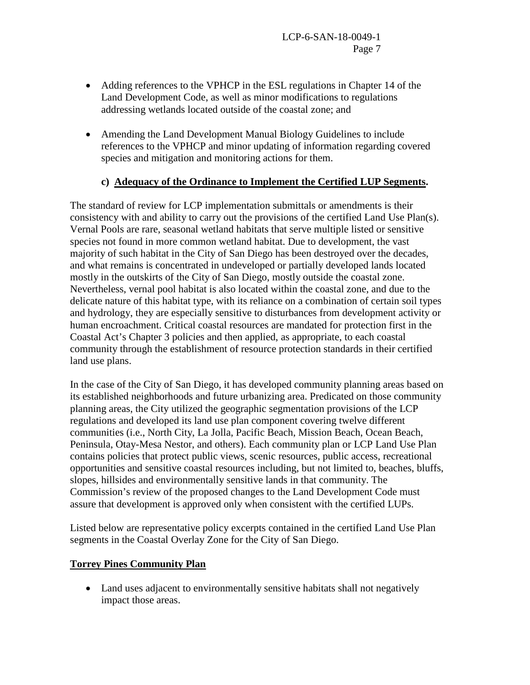- Adding references to the VPHCP in the ESL regulations in Chapter 14 of the Land Development Code, as well as minor modifications to regulations addressing wetlands located outside of the coastal zone; and
- Amending the Land Development Manual Biology Guidelines to include references to the VPHCP and minor updating of information regarding covered species and mitigation and monitoring actions for them.

# **c) Adequacy of the Ordinance to Implement the Certified LUP Segments.**

The standard of review for LCP implementation submittals or amendments is their consistency with and ability to carry out the provisions of the certified Land Use Plan(s). Vernal Pools are rare, seasonal wetland habitats that serve multiple listed or sensitive species not found in more common wetland habitat. Due to development, the vast majority of such habitat in the City of San Diego has been destroyed over the decades, and what remains is concentrated in undeveloped or partially developed lands located mostly in the outskirts of the City of San Diego, mostly outside the coastal zone. Nevertheless, vernal pool habitat is also located within the coastal zone, and due to the delicate nature of this habitat type, with its reliance on a combination of certain soil types and hydrology, they are especially sensitive to disturbances from development activity or human encroachment. Critical coastal resources are mandated for protection first in the Coastal Act's Chapter 3 policies and then applied, as appropriate, to each coastal community through the establishment of resource protection standards in their certified land use plans.

In the case of the City of San Diego, it has developed community planning areas based on its established neighborhoods and future urbanizing area. Predicated on those community planning areas, the City utilized the geographic segmentation provisions of the LCP regulations and developed its land use plan component covering twelve different communities (i.e., North City, La Jolla, Pacific Beach, Mission Beach, Ocean Beach, Peninsula, Otay-Mesa Nestor, and others). Each community plan or LCP Land Use Plan contains policies that protect public views, scenic resources, public access, recreational opportunities and sensitive coastal resources including, but not limited to, beaches, bluffs, slopes, hillsides and environmentally sensitive lands in that community. The Commission's review of the proposed changes to the Land Development Code must assure that development is approved only when consistent with the certified LUPs.

Listed below are representative policy excerpts contained in the certified Land Use Plan segments in the Coastal Overlay Zone for the City of San Diego.

# **Torrey Pines Community Plan**

• Land uses adjacent to environmentally sensitive habitats shall not negatively impact those areas.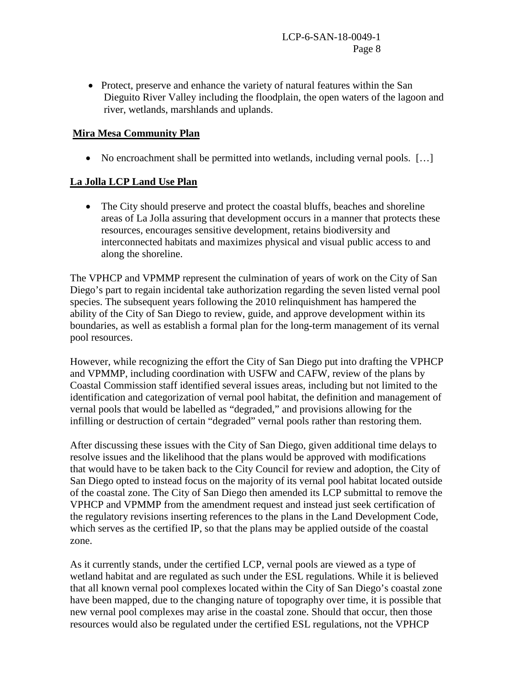• Protect, preserve and enhance the variety of natural features within the San Dieguito River Valley including the floodplain, the open waters of the lagoon and river, wetlands, marshlands and uplands.

## **Mira Mesa Community Plan**

• No encroachment shall be permitted into wetlands, including vernal pools. [...]

#### **La Jolla LCP Land Use Plan**

• The City should preserve and protect the coastal bluffs, beaches and shoreline areas of La Jolla assuring that development occurs in a manner that protects these resources, encourages sensitive development, retains biodiversity and interconnected habitats and maximizes physical and visual public access to and along the shoreline.

The VPHCP and VPMMP represent the culmination of years of work on the City of San Diego's part to regain incidental take authorization regarding the seven listed vernal pool species. The subsequent years following the 2010 relinquishment has hampered the ability of the City of San Diego to review, guide, and approve development within its boundaries, as well as establish a formal plan for the long-term management of its vernal pool resources.

However, while recognizing the effort the City of San Diego put into drafting the VPHCP and VPMMP, including coordination with USFW and CAFW, review of the plans by Coastal Commission staff identified several issues areas, including but not limited to the identification and categorization of vernal pool habitat, the definition and management of vernal pools that would be labelled as "degraded," and provisions allowing for the infilling or destruction of certain "degraded" vernal pools rather than restoring them.

After discussing these issues with the City of San Diego, given additional time delays to resolve issues and the likelihood that the plans would be approved with modifications that would have to be taken back to the City Council for review and adoption, the City of San Diego opted to instead focus on the majority of its vernal pool habitat located outside of the coastal zone. The City of San Diego then amended its LCP submittal to remove the VPHCP and VPMMP from the amendment request and instead just seek certification of the regulatory revisions inserting references to the plans in the Land Development Code, which serves as the certified IP, so that the plans may be applied outside of the coastal zone.

As it currently stands, under the certified LCP, vernal pools are viewed as a type of wetland habitat and are regulated as such under the ESL regulations. While it is believed that all known vernal pool complexes located within the City of San Diego's coastal zone have been mapped, due to the changing nature of topography over time, it is possible that new vernal pool complexes may arise in the coastal zone. Should that occur, then those resources would also be regulated under the certified ESL regulations, not the VPHCP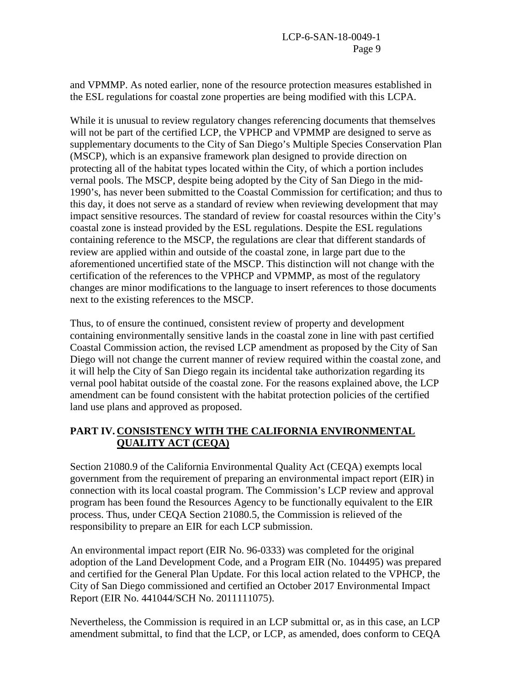and VPMMP. As noted earlier, none of the resource protection measures established in the ESL regulations for coastal zone properties are being modified with this LCPA.

While it is unusual to review regulatory changes referencing documents that themselves will not be part of the certified LCP, the VPHCP and VPMMP are designed to serve as supplementary documents to the City of San Diego's Multiple Species Conservation Plan (MSCP), which is an expansive framework plan designed to provide direction on protecting all of the habitat types located within the City, of which a portion includes vernal pools. The MSCP, despite being adopted by the City of San Diego in the mid-1990's, has never been submitted to the Coastal Commission for certification; and thus to this day, it does not serve as a standard of review when reviewing development that may impact sensitive resources. The standard of review for coastal resources within the City's coastal zone is instead provided by the ESL regulations. Despite the ESL regulations containing reference to the MSCP, the regulations are clear that different standards of review are applied within and outside of the coastal zone, in large part due to the aforementioned uncertified state of the MSCP. This distinction will not change with the certification of the references to the VPHCP and VPMMP, as most of the regulatory changes are minor modifications to the language to insert references to those documents next to the existing references to the MSCP.

Thus, to of ensure the continued, consistent review of property and development containing environmentally sensitive lands in the coastal zone in line with past certified Coastal Commission action, the revised LCP amendment as proposed by the City of San Diego will not change the current manner of review required within the coastal zone, and it will help the City of San Diego regain its incidental take authorization regarding its vernal pool habitat outside of the coastal zone. For the reasons explained above, the LCP amendment can be found consistent with the habitat protection policies of the certified land use plans and approved as proposed.

# **PART IV. CONSISTENCY WITH THE CALIFORNIA ENVIRONMENTAL QUALITY ACT (CEQA)**

Section 21080.9 of the California Environmental Quality Act (CEQA) exempts local government from the requirement of preparing an environmental impact report (EIR) in connection with its local coastal program. The Commission's LCP review and approval program has been found the Resources Agency to be functionally equivalent to the EIR process. Thus, under CEQA Section 21080.5, the Commission is relieved of the responsibility to prepare an EIR for each LCP submission.

An environmental impact report (EIR No. 96-0333) was completed for the original adoption of the Land Development Code, and a Program EIR (No. 104495) was prepared and certified for the General Plan Update. For this local action related to the VPHCP, the City of San Diego commissioned and certified an October 2017 Environmental Impact Report (EIR No. 441044/SCH No. 2011111075).

Nevertheless, the Commission is required in an LCP submittal or, as in this case, an LCP amendment submittal, to find that the LCP, or LCP, as amended, does conform to CEQA